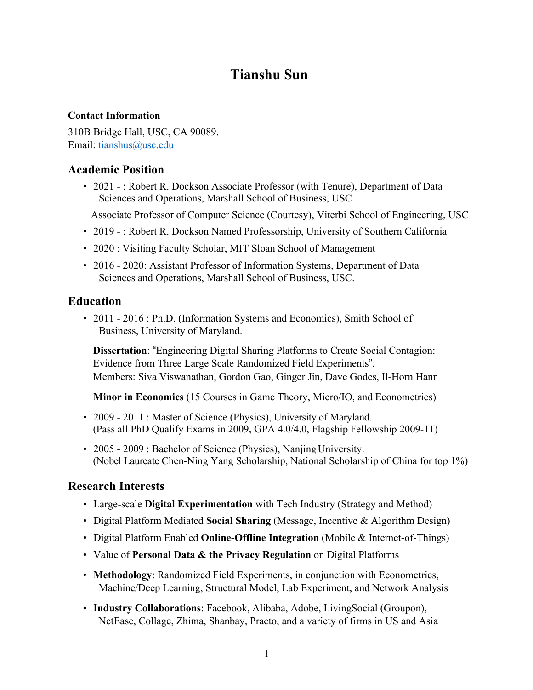# **Tianshu Sun**

#### **Contact Information**

310B Bridge Hall, USC, CA 90089. Email: tianshus@usc.edu

### **Academic Position**

• 2021 - : Robert R. Dockson Associate Professor (with Tenure), Department of Data Sciences and Operations, Marshall School of Business, USC

Associate Professor of Computer Science (Courtesy), Viterbi School of Engineering, USC

- 2019 : Robert R. Dockson Named Professorship, University of Southern California
- 2020 : Visiting Faculty Scholar, MIT Sloan School of Management
- 2016 2020: Assistant Professor of Information Systems, Department of Data Sciences and Operations, Marshall School of Business, USC.

### **Education**

• 2011 - 2016 : Ph.D. (Information Systems and Economics), Smith School of Business, University of Maryland.

**Dissertation**: "Engineering Digital Sharing Platforms to Create Social Contagion: Evidence from Three Large Scale Randomized Field Experiments", Members: Siva Viswanathan, Gordon Gao, Ginger Jin, Dave Godes, Il-Horn Hann

**Minor in Economics** (15 Courses in Game Theory, Micro/IO, and Econometrics)

- 2009 2011 : Master of Science (Physics), University of Maryland. (Pass all PhD Qualify Exams in 2009, GPA 4.0/4.0, Flagship Fellowship 2009-11)
- 2005 2009 : Bachelor of Science (Physics), Nanjing University. (Nobel Laureate Chen-Ning Yang Scholarship, National Scholarship of China for top 1%)

### **Research Interests**

- Large-scale **Digital Experimentation** with Tech Industry (Strategy and Method)
- Digital Platform Mediated **Social Sharing** (Message, Incentive & Algorithm Design)
- Digital Platform Enabled **Online-Offline Integration** (Mobile & Internet-of-Things)
- Value of **Personal Data & the Privacy Regulation** on Digital Platforms
- **Methodology**: Randomized Field Experiments, in conjunction with Econometrics, Machine/Deep Learning, Structural Model, Lab Experiment, and Network Analysis
- **Industry Collaborations**: Facebook, Alibaba, Adobe, LivingSocial (Groupon), NetEase, Collage, Zhima, Shanbay, Practo, and a variety of firms in US and Asia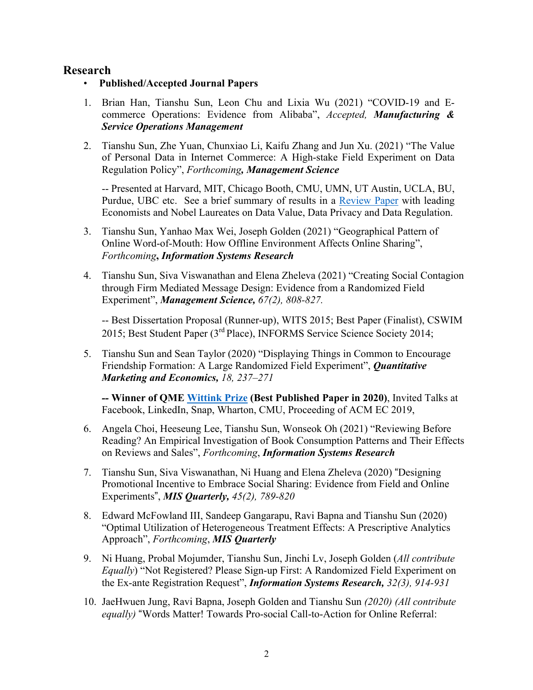### **Research**

- **Published/Accepted Journal Papers**
- 1. Brian Han, Tianshu Sun, Leon Chu and Lixia Wu (2021) "COVID-19 and Ecommerce Operations: Evidence from Alibaba", *Accepted, Manufacturing & Service Operations Management*
- 2. Tianshu Sun, Zhe Yuan, Chunxiao Li, Kaifu Zhang and Jun Xu. (2021) "The Value of Personal Data in Internet Commerce: A High-stake Field Experiment on Data Regulation Policy", *Forthcoming, Management Science*

-- Presented at Harvard, MIT, Chicago Booth, CMU, UMN, UT Austin, UCLA, BU, Purdue, UBC etc. See a brief summary of results in a Review Paper with leading Economists and Nobel Laureates on Data Value, Data Privacy and Data Regulation.

- 3. Tianshu Sun, Yanhao Max Wei, Joseph Golden (2021) "Geographical Pattern of Online Word-of-Mouth: How Offline Environment Affects Online Sharing", *Forthcoming***,** *Information Systems Research*
- 4. Tianshu Sun, Siva Viswanathan and Elena Zheleva (2021) "Creating Social Contagion through Firm Mediated Message Design: Evidence from a Randomized Field Experiment", *Management Science, 67(2), 808-827.*

-- Best Dissertation Proposal (Runner-up), WITS 2015; Best Paper (Finalist), CSWIM 2015; Best Student Paper (3rd Place), INFORMS Service Science Society 2014;

5. Tianshu Sun and Sean Taylor (2020) "Displaying Things in Common to Encourage Friendship Formation: A Large Randomized Field Experiment", *Quantitative Marketing and Economics, 18, 237–271*

*--* **Winner of QME Wittink Prize (Best Published Paper in 2020)**, Invited Talks at Facebook, LinkedIn, Snap, Wharton, CMU, Proceeding of ACM EC 2019,

- 6. Angela Choi, Heeseung Lee, Tianshu Sun, Wonseok Oh (2021) "Reviewing Before Reading? An Empirical Investigation of Book Consumption Patterns and Their Effects on Reviews and Sales", *Forthcoming*, *Information Systems Research*
- 7. Tianshu Sun, Siva Viswanathan, Ni Huang and Elena Zheleva (2020) "Designing Promotional Incentive to Embrace Social Sharing: Evidence from Field and Online Experiments", *MIS Quarterly, 45(2), 789-820*
- 8. Edward McFowland III, Sandeep Gangarapu, Ravi Bapna and Tianshu Sun (2020) "Optimal Utilization of Heterogeneous Treatment Effects: A Prescriptive Analytics Approach", *Forthcoming*, *MIS Quarterly*
- 9. Ni Huang, Probal Mojumder, Tianshu Sun, Jinchi Lv, Joseph Golden (*All contribute Equally*) "Not Registered? Please Sign-up First: A Randomized Field Experiment on the Ex-ante Registration Request", *Information Systems Research, 32(3), 914-931*
- 10. JaeHwuen Jung, Ravi Bapna, Joseph Golden and Tianshu Sun *(2020) (All contribute equally)* "Words Matter! Towards Pro-social Call-to-Action for Online Referral: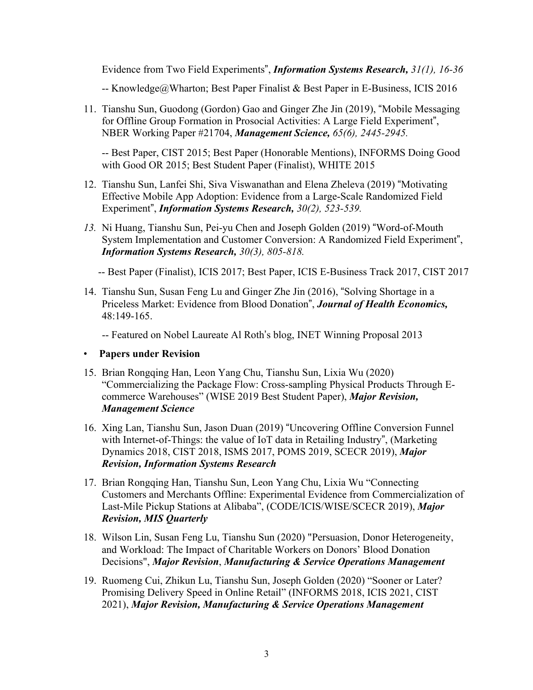Evidence from Two Field Experiments", *Information Systems Research, 31(1), 16-36*

-- Knowledge@Wharton; Best Paper Finalist & Best Paper in E-Business, ICIS 2016

11. Tianshu Sun, Guodong (Gordon) Gao and Ginger Zhe Jin (2019), "Mobile Messaging for Offline Group Formation in Prosocial Activities: A Large Field Experiment", NBER Working Paper #21704, *Management Science, 65(6), 2445-2945.*

-- Best Paper, CIST 2015; Best Paper (Honorable Mentions), INFORMS Doing Good with Good OR 2015; Best Student Paper (Finalist), WHITE 2015

- 12. Tianshu Sun, Lanfei Shi, Siva Viswanathan and Elena Zheleva (2019) "Motivating Effective Mobile App Adoption: Evidence from a Large-Scale Randomized Field Experiment", *Information Systems Research, 30(2), 523-539.*
- *13.* Ni Huang, Tianshu Sun, Pei-yu Chen and Joseph Golden (2019) "Word-of-Mouth System Implementation and Customer Conversion: A Randomized Field Experiment", *Information Systems Research, 30(3), 805-818.*

-- Best Paper (Finalist), ICIS 2017; Best Paper, ICIS E-Business Track 2017, CIST 2017

14. Tianshu Sun, Susan Feng Lu and Ginger Zhe Jin (2016), "Solving Shortage in a Priceless Market: Evidence from Blood Donation", *Journal of Health Economics,*  48:149-165.

-- Featured on Nobel Laureate Al Roth's blog, INET Winning Proposal 2013

#### • **Papers under Revision**

- 15. Brian Rongqing Han, Leon Yang Chu, Tianshu Sun, Lixia Wu (2020) "Commercializing the Package Flow: Cross-sampling Physical Products Through Ecommerce Warehouses" (WISE 2019 Best Student Paper), *Major Revision, Management Science*
- 16. Xing Lan, Tianshu Sun, Jason Duan (2019) "Uncovering Offline Conversion Funnel with Internet-of-Things: the value of IoT data in Retailing Industry", (Marketing Dynamics 2018, CIST 2018, ISMS 2017, POMS 2019, SCECR 2019), *Major Revision, Information Systems Research*
- 17. Brian Rongqing Han, Tianshu Sun, Leon Yang Chu, Lixia Wu "Connecting Customers and Merchants Offline: Experimental Evidence from Commercialization of Last-Mile Pickup Stations at Alibaba", (CODE/ICIS/WISE/SCECR 2019), *Major Revision, MIS Quarterly*
- 18. Wilson Lin, Susan Feng Lu, Tianshu Sun (2020) "Persuasion, Donor Heterogeneity, and Workload: The Impact of Charitable Workers on Donors' Blood Donation Decisions", *Major Revision*, *Manufacturing & Service Operations Management*
- 19. Ruomeng Cui, Zhikun Lu, Tianshu Sun, Joseph Golden (2020) "Sooner or Later? Promising Delivery Speed in Online Retail" (INFORMS 2018, ICIS 2021, CIST 2021), *Major Revision, Manufacturing & Service Operations Management*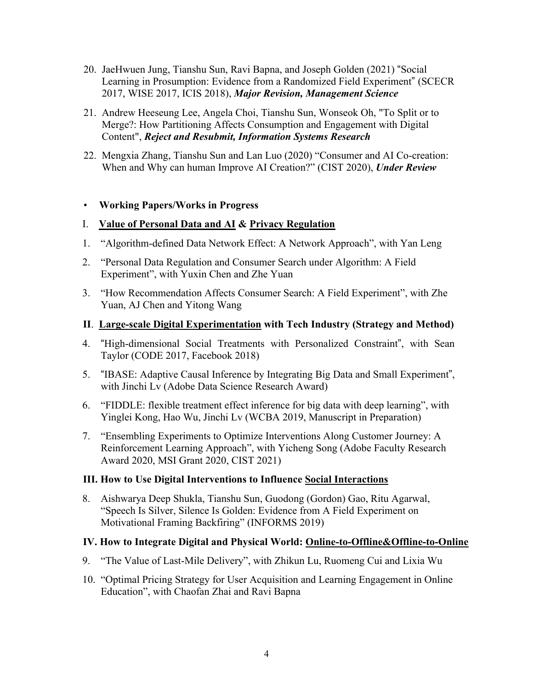- 20. JaeHwuen Jung, Tianshu Sun, Ravi Bapna, and Joseph Golden (2021) "Social Learning in Prosumption: Evidence from a Randomized Field Experiment" (SCECR 2017, WISE 2017, ICIS 2018), *Major Revision, Management Science*
- 21. Andrew Heeseung Lee, Angela Choi, Tianshu Sun, Wonseok Oh, "To Split or to Merge?: How Partitioning Affects Consumption and Engagement with Digital Content", *Reject and Resubmit, Information Systems Research*
- 22. Mengxia Zhang, Tianshu Sun and Lan Luo (2020) "Consumer and AI Co-creation: When and Why can human Improve AI Creation?" (CIST 2020), *Under Review*

#### • **Working Papers/Works in Progress**

#### I. **Value of Personal Data and AI & Privacy Regulation**

- 1. "Algorithm-defined Data Network Effect: A Network Approach", with Yan Leng
- 2. "Personal Data Regulation and Consumer Search under Algorithm: A Field Experiment", with Yuxin Chen and Zhe Yuan
- 3. "How Recommendation Affects Consumer Search: A Field Experiment", with Zhe Yuan, AJ Chen and Yitong Wang

#### **II**. **Large-scale Digital Experimentation with Tech Industry (Strategy and Method)**

- 4. "High-dimensional Social Treatments with Personalized Constraint", with Sean Taylor (CODE 2017, Facebook 2018)
- 5. "IBASE: Adaptive Causal Inference by Integrating Big Data and Small Experiment", with Jinchi Lv (Adobe Data Science Research Award)
- 6. "FIDDLE: flexible treatment effect inference for big data with deep learning", with Yinglei Kong, Hao Wu, Jinchi Lv (WCBA 2019, Manuscript in Preparation)
- 7. "Ensembling Experiments to Optimize Interventions Along Customer Journey: A Reinforcement Learning Approach", with Yicheng Song (Adobe Faculty Research Award 2020, MSI Grant 2020, CIST 2021)

#### **III. How to Use Digital Interventions to Influence Social Interactions**

8. Aishwarya Deep Shukla, Tianshu Sun, Guodong (Gordon) Gao, Ritu Agarwal, "Speech Is Silver, Silence Is Golden: Evidence from A Field Experiment on Motivational Framing Backfiring" (INFORMS 2019)

### **IV. How to Integrate Digital and Physical World: Online-to-Offline&Offline-to-Online**

- 9. "The Value of Last-Mile Delivery", with Zhikun Lu, Ruomeng Cui and Lixia Wu
- 10. "Optimal Pricing Strategy for User Acquisition and Learning Engagement in Online Education", with Chaofan Zhai and Ravi Bapna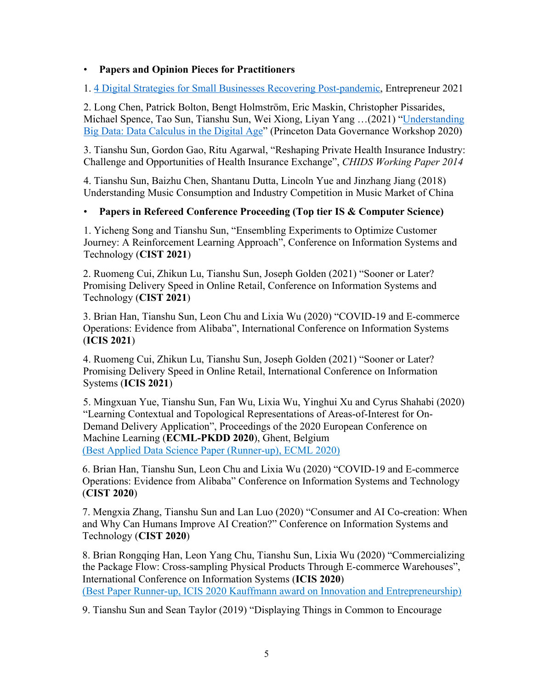### • **Papers and Opinion Pieces for Practitioners**

1. 4 Digital Strategies for Small Businesses Recovering Post-pandemic, Entrepreneur 2021

2. Long Chen, Patrick Bolton, Bengt Holmström, Eric Maskin, Christopher Pissarides, Michael Spence, Tao Sun, Tianshu Sun, Wei Xiong, Liyan Yang …(2021) "Understanding Big Data: Data Calculus in the Digital Age" (Princeton Data Governance Workshop 2020)

3. Tianshu Sun, Gordon Gao, Ritu Agarwal, "Reshaping Private Health Insurance Industry: Challenge and Opportunities of Health Insurance Exchange", *CHIDS Working Paper 2014*

4. Tianshu Sun, Baizhu Chen, Shantanu Dutta, Lincoln Yue and Jinzhang Jiang (2018) Understanding Music Consumption and Industry Competition in Music Market of China

### • **Papers in Refereed Conference Proceeding (Top tier IS & Computer Science)**

1. Yicheng Song and Tianshu Sun, "Ensembling Experiments to Optimize Customer Journey: A Reinforcement Learning Approach", Conference on Information Systems and Technology (**CIST 2021**)

2. Ruomeng Cui, Zhikun Lu, Tianshu Sun, Joseph Golden (2021) "Sooner or Later? Promising Delivery Speed in Online Retail, Conference on Information Systems and Technology (**CIST 2021**)

3. Brian Han, Tianshu Sun, Leon Chu and Lixia Wu (2020) "COVID-19 and E-commerce Operations: Evidence from Alibaba", International Conference on Information Systems (**ICIS 2021**)

4. Ruomeng Cui, Zhikun Lu, Tianshu Sun, Joseph Golden (2021) "Sooner or Later? Promising Delivery Speed in Online Retail, International Conference on Information Systems (**ICIS 2021**)

5. Mingxuan Yue, Tianshu Sun, Fan Wu, Lixia Wu, Yinghui Xu and Cyrus Shahabi (2020) "Learning Contextual and Topological Representations of Areas-of-Interest for On-Demand Delivery Application", Proceedings of the 2020 European Conference on Machine Learning (**ECML-PKDD 2020**), Ghent, Belgium (Best Applied Data Science Paper (Runner-up), ECML 2020)

6. Brian Han, Tianshu Sun, Leon Chu and Lixia Wu (2020) "COVID-19 and E-commerce Operations: Evidence from Alibaba" Conference on Information Systems and Technology (**CIST 2020**)

7. Mengxia Zhang, Tianshu Sun and Lan Luo (2020) "Consumer and AI Co-creation: When and Why Can Humans Improve AI Creation?" Conference on Information Systems and Technology (**CIST 2020**)

8. Brian Rongqing Han, Leon Yang Chu, Tianshu Sun, Lixia Wu (2020) "Commercializing the Package Flow: Cross-sampling Physical Products Through E-commerce Warehouses", International Conference on Information Systems (**ICIS 2020**) (Best Paper Runner-up, ICIS 2020 Kauffmann award on Innovation and Entrepreneurship)

9. Tianshu Sun and Sean Taylor (2019) "Displaying Things in Common to Encourage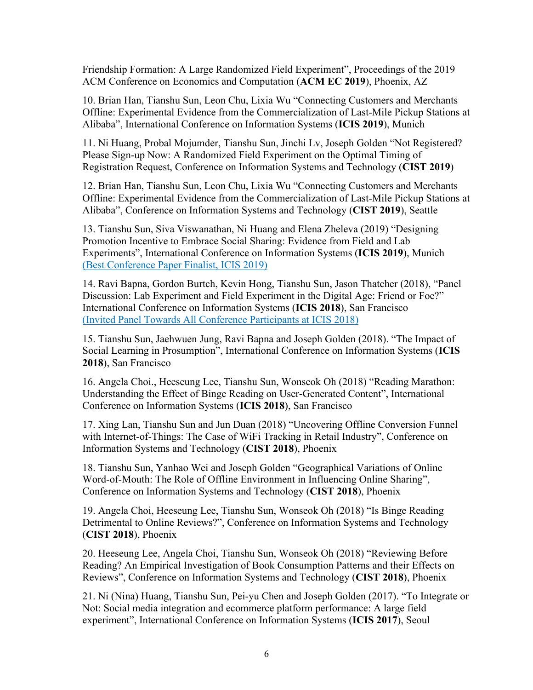Friendship Formation: A Large Randomized Field Experiment", Proceedings of the 2019 ACM Conference on Economics and Computation (**ACM EC 2019**), Phoenix, AZ

10. Brian Han, Tianshu Sun, Leon Chu, Lixia Wu "Connecting Customers and Merchants Offline: Experimental Evidence from the Commercialization of Last-Mile Pickup Stations at Alibaba", International Conference on Information Systems (**ICIS 2019**), Munich

11. Ni Huang, Probal Mojumder, Tianshu Sun, Jinchi Lv, Joseph Golden "Not Registered? Please Sign-up Now: A Randomized Field Experiment on the Optimal Timing of Registration Request, Conference on Information Systems and Technology (**CIST 2019**)

12. Brian Han, Tianshu Sun, Leon Chu, Lixia Wu "Connecting Customers and Merchants Offline: Experimental Evidence from the Commercialization of Last-Mile Pickup Stations at Alibaba", Conference on Information Systems and Technology (**CIST 2019**), Seattle

13. Tianshu Sun, Siva Viswanathan, Ni Huang and Elena Zheleva (2019) "Designing Promotion Incentive to Embrace Social Sharing: Evidence from Field and Lab Experiments", International Conference on Information Systems (**ICIS 2019**), Munich (Best Conference Paper Finalist, ICIS 2019)

14. Ravi Bapna, Gordon Burtch, Kevin Hong, Tianshu Sun, Jason Thatcher (2018), "Panel Discussion: Lab Experiment and Field Experiment in the Digital Age: Friend or Foe?" International Conference on Information Systems (**ICIS 2018**), San Francisco (Invited Panel Towards All Conference Participants at ICIS 2018)

15. Tianshu Sun, Jaehwuen Jung, Ravi Bapna and Joseph Golden (2018). "The Impact of Social Learning in Prosumption", International Conference on Information Systems (**ICIS 2018**), San Francisco

16. Angela Choi., Heeseung Lee, Tianshu Sun, Wonseok Oh (2018) "Reading Marathon: Understanding the Effect of Binge Reading on User-Generated Content", International Conference on Information Systems (**ICIS 2018**), San Francisco

17. Xing Lan, Tianshu Sun and Jun Duan (2018) "Uncovering Offline Conversion Funnel with Internet-of-Things: The Case of WiFi Tracking in Retail Industry", Conference on Information Systems and Technology (**CIST 2018**), Phoenix

18. Tianshu Sun, Yanhao Wei and Joseph Golden "Geographical Variations of Online Word-of-Mouth: The Role of Offline Environment in Influencing Online Sharing", Conference on Information Systems and Technology (**CIST 2018**), Phoenix

19. Angela Choi, Heeseung Lee, Tianshu Sun, Wonseok Oh (2018) "Is Binge Reading Detrimental to Online Reviews?", Conference on Information Systems and Technology (**CIST 2018**), Phoenix

20. Heeseung Lee, Angela Choi, Tianshu Sun, Wonseok Oh (2018) "Reviewing Before Reading? An Empirical Investigation of Book Consumption Patterns and their Effects on Reviews", Conference on Information Systems and Technology (**CIST 2018**), Phoenix

21. Ni (Nina) Huang, Tianshu Sun, Pei-yu Chen and Joseph Golden (2017). "To Integrate or Not: Social media integration and ecommerce platform performance: A large field experiment", International Conference on Information Systems (**ICIS 2017**), Seoul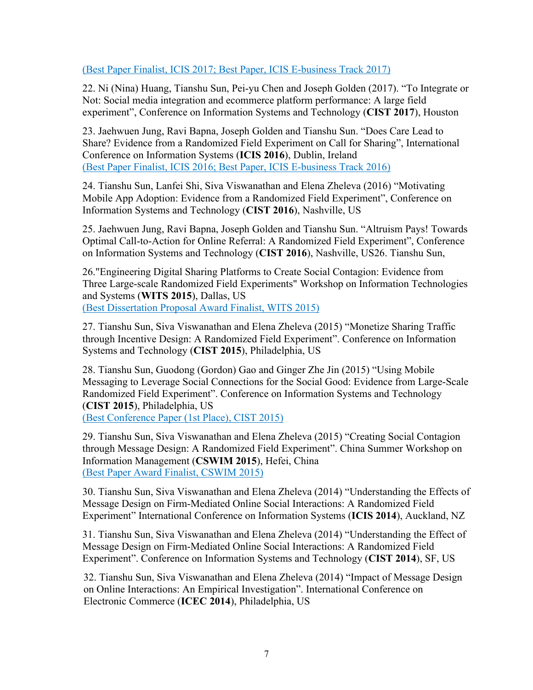#### (Best Paper Finalist, ICIS 2017; Best Paper, ICIS E-business Track 2017)

22. Ni (Nina) Huang, Tianshu Sun, Pei-yu Chen and Joseph Golden (2017). "To Integrate or Not: Social media integration and ecommerce platform performance: A large field experiment", Conference on Information Systems and Technology (**CIST 2017**), Houston

23. Jaehwuen Jung, Ravi Bapna, Joseph Golden and Tianshu Sun. "Does Care Lead to Share? Evidence from a Randomized Field Experiment on Call for Sharing", International Conference on Information Systems (**ICIS 2016**), Dublin, Ireland (Best Paper Finalist, ICIS 2016; Best Paper, ICIS E-business Track 2016)

24. Tianshu Sun, Lanfei Shi, Siva Viswanathan and Elena Zheleva (2016) "Motivating Mobile App Adoption: Evidence from a Randomized Field Experiment", Conference on Information Systems and Technology (**CIST 2016**), Nashville, US

25. Jaehwuen Jung, Ravi Bapna, Joseph Golden and Tianshu Sun. "Altruism Pays! Towards Optimal Call-to-Action for Online Referral: A Randomized Field Experiment", Conference on Information Systems and Technology (**CIST 2016**), Nashville, US26. Tianshu Sun,

26."Engineering Digital Sharing Platforms to Create Social Contagion: Evidence from Three Large-scale Randomized Field Experiments" Workshop on Information Technologies and Systems (**WITS 2015**), Dallas, US (Best Dissertation Proposal Award Finalist, WITS 2015)

27. Tianshu Sun, Siva Viswanathan and Elena Zheleva (2015) "Monetize Sharing Traffic through Incentive Design: A Randomized Field Experiment". Conference on Information Systems and Technology (**CIST 2015**), Philadelphia, US

28. Tianshu Sun, Guodong (Gordon) Gao and Ginger Zhe Jin (2015) "Using Mobile Messaging to Leverage Social Connections for the Social Good: Evidence from Large-Scale Randomized Field Experiment". Conference on Information Systems and Technology (**CIST 2015**), Philadelphia, US

(Best Conference Paper (1st Place), CIST 2015)

29. Tianshu Sun, Siva Viswanathan and Elena Zheleva (2015) "Creating Social Contagion through Message Design: A Randomized Field Experiment". China Summer Workshop on Information Management (**CSWIM 2015**), Hefei, China (Best Paper Award Finalist, CSWIM 2015)

30. Tianshu Sun, Siva Viswanathan and Elena Zheleva (2014) "Understanding the Effects of Message Design on Firm-Mediated Online Social Interactions: A Randomized Field Experiment" International Conference on Information Systems (**ICIS 2014**), Auckland, NZ

31. Tianshu Sun, Siva Viswanathan and Elena Zheleva (2014) "Understanding the Effect of Message Design on Firm-Mediated Online Social Interactions: A Randomized Field Experiment". Conference on Information Systems and Technology (**CIST 2014**), SF, US

32. Tianshu Sun, Siva Viswanathan and Elena Zheleva (2014) "Impact of Message Design on Online Interactions: An Empirical Investigation". International Conference on Electronic Commerce (**ICEC 2014**), Philadelphia, US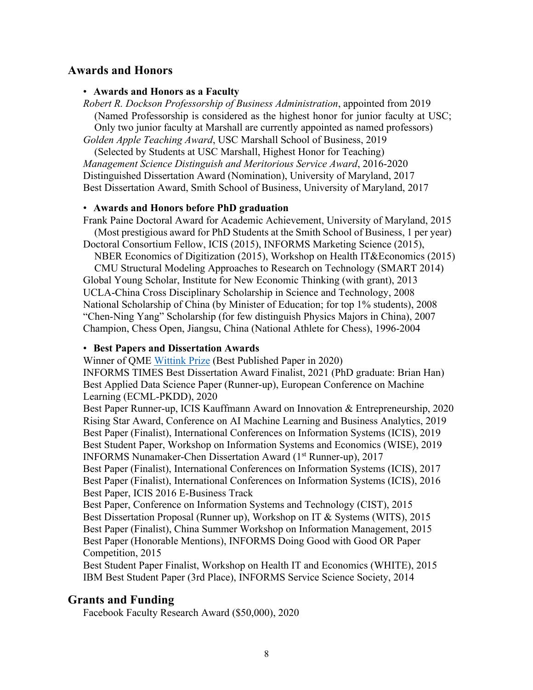### **Awards and Honors**

#### • **Awards and Honors as a Faculty**

*Robert R. Dockson Professorship of Business Administration*, appointed from 2019 (Named Professorship is considered as the highest honor for junior faculty at USC; Only two junior faculty at Marshall are currently appointed as named professors) *Golden Apple Teaching Award*, USC Marshall School of Business, 2019

(Selected by Students at USC Marshall, Highest Honor for Teaching)

*Management Science Distinguish and Meritorious Service Award*, 2016-2020 Distinguished Dissertation Award (Nomination), University of Maryland, 2017 Best Dissertation Award, Smith School of Business, University of Maryland, 2017

#### • **Awards and Honors before PhD graduation**

Frank Paine Doctoral Award for Academic Achievement, University of Maryland, 2015 (Most prestigious award for PhD Students at the Smith School of Business, 1 per year) Doctoral Consortium Fellow, ICIS (2015), INFORMS Marketing Science (2015),

NBER Economics of Digitization (2015), Workshop on Health IT&Economics (2015)

CMU Structural Modeling Approaches to Research on Technology (SMART 2014) Global Young Scholar, Institute for New Economic Thinking (with grant), 2013 UCLA-China Cross Disciplinary Scholarship in Science and Technology, 2008 National Scholarship of China (by Minister of Education; for top 1% students), 2008 "Chen-Ning Yang" Scholarship (for few distinguish Physics Majors in China), 2007 Champion, Chess Open, Jiangsu, China (National Athlete for Chess), 1996-2004

#### • **Best Papers and Dissertation Awards**

Winner of QME Wittink Prize (Best Published Paper in 2020)

INFORMS TIMES Best Dissertation Award Finalist, 2021 (PhD graduate: Brian Han) Best Applied Data Science Paper (Runner-up), European Conference on Machine Learning (ECML-PKDD), 2020

Best Paper Runner-up, ICIS Kauffmann Award on Innovation & Entrepreneurship, 2020 Rising Star Award, Conference on AI Machine Learning and Business Analytics, 2019 Best Paper (Finalist), International Conferences on Information Systems (ICIS), 2019 Best Student Paper, Workshop on Information Systems and Economics (WISE), 2019 INFORMS Nunamaker-Chen Dissertation Award (1st Runner-up), 2017

Best Paper (Finalist), International Conferences on Information Systems (ICIS), 2017 Best Paper (Finalist), International Conferences on Information Systems (ICIS), 2016 Best Paper, ICIS 2016 E-Business Track

Best Paper, Conference on Information Systems and Technology (CIST), 2015 Best Dissertation Proposal (Runner up), Workshop on IT & Systems (WITS), 2015 Best Paper (Finalist), China Summer Workshop on Information Management, 2015 Best Paper (Honorable Mentions), INFORMS Doing Good with Good OR Paper Competition, 2015

Best Student Paper Finalist, Workshop on Health IT and Economics (WHITE), 2015 IBM Best Student Paper (3rd Place), INFORMS Service Science Society, 2014

### **Grants and Funding**

Facebook Faculty Research Award (\$50,000), 2020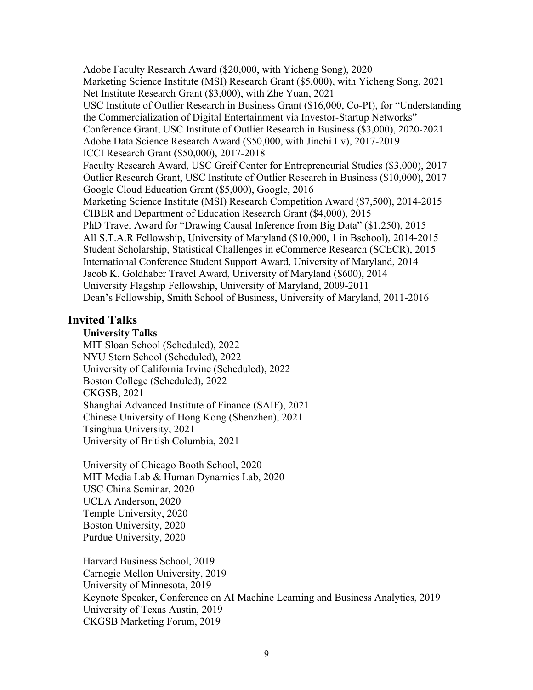Adobe Faculty Research Award (\$20,000, with Yicheng Song), 2020 Marketing Science Institute (MSI) Research Grant (\$5,000), with Yicheng Song, 2021 Net Institute Research Grant (\$3,000), with Zhe Yuan, 2021 USC Institute of Outlier Research in Business Grant (\$16,000, Co-PI), for "Understanding the Commercialization of Digital Entertainment via Investor-Startup Networks" Conference Grant, USC Institute of Outlier Research in Business (\$3,000), 2020-2021 Adobe Data Science Research Award (\$50,000, with Jinchi Lv), 2017-2019 ICCI Research Grant (\$50,000), 2017-2018 Faculty Research Award, USC Greif Center for Entrepreneurial Studies (\$3,000), 2017 Outlier Research Grant, USC Institute of Outlier Research in Business (\$10,000), 2017 Google Cloud Education Grant (\$5,000), Google, 2016 Marketing Science Institute (MSI) Research Competition Award (\$7,500), 2014-2015 CIBER and Department of Education Research Grant (\$4,000), 2015 PhD Travel Award for "Drawing Causal Inference from Big Data" (\$1,250), 2015 All S.T.A.R Fellowship, University of Maryland (\$10,000, 1 in Bschool), 2014-2015 Student Scholarship, Statistical Challenges in eCommerce Research (SCECR), 2015 International Conference Student Support Award, University of Maryland, 2014 Jacob K. Goldhaber Travel Award, University of Maryland (\$600), 2014 University Flagship Fellowship, University of Maryland, 2009-2011 Dean's Fellowship, Smith School of Business, University of Maryland, 2011-2016

### **Invited Talks**

#### **University Talks**

MIT Sloan School (Scheduled), 2022 NYU Stern School (Scheduled), 2022 University of California Irvine (Scheduled), 2022 Boston College (Scheduled), 2022 CKGSB, 2021 Shanghai Advanced Institute of Finance (SAIF), 2021 Chinese University of Hong Kong (Shenzhen), 2021 Tsinghua University, 2021 University of British Columbia, 2021

University of Chicago Booth School, 2020 MIT Media Lab & Human Dynamics Lab, 2020 USC China Seminar, 2020 UCLA Anderson, 2020 Temple University, 2020 Boston University, 2020 Purdue University, 2020

Harvard Business School, 2019 Carnegie Mellon University, 2019 University of Minnesota, 2019 Keynote Speaker, Conference on AI Machine Learning and Business Analytics, 2019 University of Texas Austin, 2019 CKGSB Marketing Forum, 2019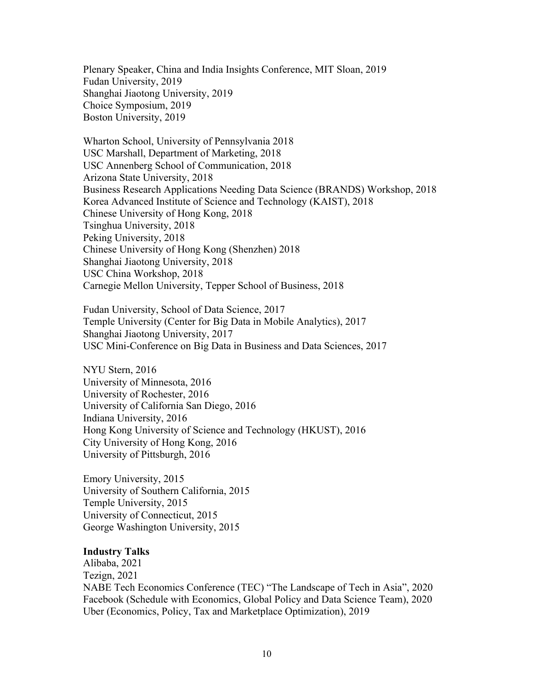Plenary Speaker, China and India Insights Conference, MIT Sloan, 2019 Fudan University, 2019 Shanghai Jiaotong University, 2019 Choice Symposium, 2019 Boston University, 2019

Wharton School, University of Pennsylvania 2018 USC Marshall, Department of Marketing, 2018 USC Annenberg School of Communication, 2018 Arizona State University, 2018 Business Research Applications Needing Data Science (BRANDS) Workshop, 2018 Korea Advanced Institute of Science and Technology (KAIST), 2018 Chinese University of Hong Kong, 2018 Tsinghua University, 2018 Peking University, 2018 Chinese University of Hong Kong (Shenzhen) 2018 Shanghai Jiaotong University, 2018 USC China Workshop, 2018 Carnegie Mellon University, Tepper School of Business, 2018

Fudan University, School of Data Science, 2017 Temple University (Center for Big Data in Mobile Analytics), 2017 Shanghai Jiaotong University, 2017 USC Mini-Conference on Big Data in Business and Data Sciences, 2017

NYU Stern, 2016 University of Minnesota, 2016 University of Rochester, 2016 University of California San Diego, 2016 Indiana University, 2016 Hong Kong University of Science and Technology (HKUST), 2016 City University of Hong Kong, 2016 University of Pittsburgh, 2016

Emory University, 2015 University of Southern California, 2015 Temple University, 2015 University of Connecticut, 2015 George Washington University, 2015

#### **Industry Talks**

Alibaba, 2021 Tezign, 2021 NABE Tech Economics Conference (TEC) "The Landscape of Tech in Asia", 2020 Facebook (Schedule with Economics, Global Policy and Data Science Team), 2020 Uber (Economics, Policy, Tax and Marketplace Optimization), 2019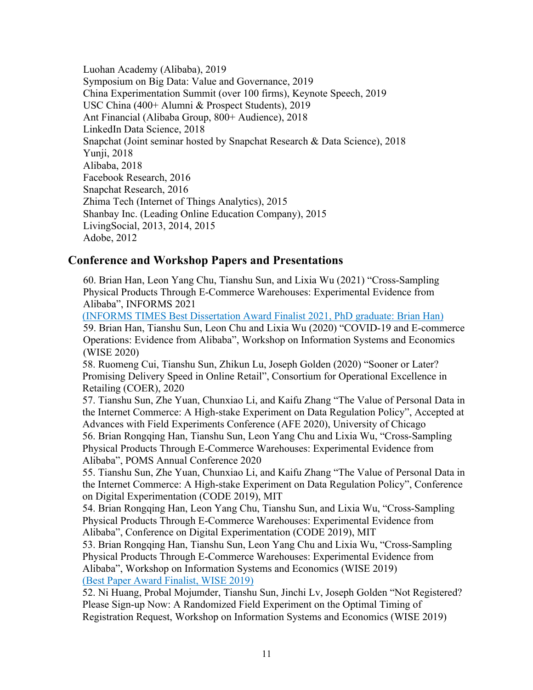Luohan Academy (Alibaba), 2019 Symposium on Big Data: Value and Governance, 2019 China Experimentation Summit (over 100 firms), Keynote Speech, 2019 USC China (400+ Alumni & Prospect Students), 2019 Ant Financial (Alibaba Group, 800+ Audience), 2018 LinkedIn Data Science, 2018 Snapchat (Joint seminar hosted by Snapchat Research & Data Science), 2018 Yunji, 2018 Alibaba, 2018 Facebook Research, 2016 Snapchat Research, 2016 Zhima Tech (Internet of Things Analytics), 2015 Shanbay Inc. (Leading Online Education Company), 2015 LivingSocial, 2013, 2014, 2015 Adobe, 2012

### **Conference and Workshop Papers and Presentations**

60. Brian Han, Leon Yang Chu, Tianshu Sun, and Lixia Wu (2021) "Cross-Sampling Physical Products Through E-Commerce Warehouses: Experimental Evidence from Alibaba", INFORMS 2021

(INFORMS TIMES Best Dissertation Award Finalist 2021, PhD graduate: Brian Han)

59. Brian Han, Tianshu Sun, Leon Chu and Lixia Wu (2020) "COVID-19 and E-commerce Operations: Evidence from Alibaba", Workshop on Information Systems and Economics (WISE 2020)

58. Ruomeng Cui, Tianshu Sun, Zhikun Lu, Joseph Golden (2020) "Sooner or Later? Promising Delivery Speed in Online Retail", Consortium for Operational Excellence in Retailing (COER), 2020

57. Tianshu Sun, Zhe Yuan, Chunxiao Li, and Kaifu Zhang "The Value of Personal Data in the Internet Commerce: A High-stake Experiment on Data Regulation Policy", Accepted at Advances with Field Experiments Conference (AFE 2020), University of Chicago 56. Brian Rongqing Han, Tianshu Sun, Leon Yang Chu and Lixia Wu, "Cross-Sampling Physical Products Through E-Commerce Warehouses: Experimental Evidence from Alibaba", POMS Annual Conference 2020

55. Tianshu Sun, Zhe Yuan, Chunxiao Li, and Kaifu Zhang "The Value of Personal Data in the Internet Commerce: A High-stake Experiment on Data Regulation Policy", Conference on Digital Experimentation (CODE 2019), MIT

54. Brian Rongqing Han, Leon Yang Chu, Tianshu Sun, and Lixia Wu, "Cross-Sampling Physical Products Through E-Commerce Warehouses: Experimental Evidence from Alibaba", Conference on Digital Experimentation (CODE 2019), MIT

53. Brian Rongqing Han, Tianshu Sun, Leon Yang Chu and Lixia Wu, "Cross-Sampling Physical Products Through E-Commerce Warehouses: Experimental Evidence from Alibaba", Workshop on Information Systems and Economics (WISE 2019) (Best Paper Award Finalist, WISE 2019)

52. Ni Huang, Probal Mojumder, Tianshu Sun, Jinchi Lv, Joseph Golden "Not Registered? Please Sign-up Now: A Randomized Field Experiment on the Optimal Timing of Registration Request, Workshop on Information Systems and Economics (WISE 2019)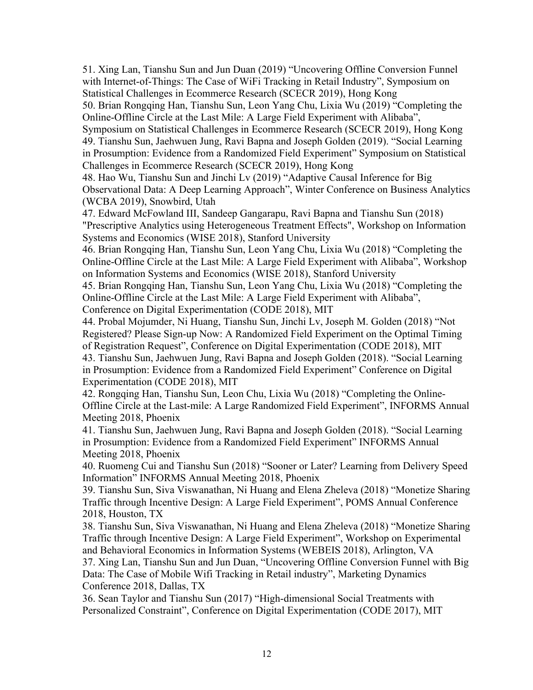51. Xing Lan, Tianshu Sun and Jun Duan (2019) "Uncovering Offline Conversion Funnel with Internet-of-Things: The Case of WiFi Tracking in Retail Industry", Symposium on Statistical Challenges in Ecommerce Research (SCECR 2019), Hong Kong

50. Brian Rongqing Han, Tianshu Sun, Leon Yang Chu, Lixia Wu (2019) "Completing the Online-Offline Circle at the Last Mile: A Large Field Experiment with Alibaba",

Symposium on Statistical Challenges in Ecommerce Research (SCECR 2019), Hong Kong 49. Tianshu Sun, Jaehwuen Jung, Ravi Bapna and Joseph Golden (2019). "Social Learning in Prosumption: Evidence from a Randomized Field Experiment" Symposium on Statistical Challenges in Ecommerce Research (SCECR 2019), Hong Kong

48. Hao Wu, Tianshu Sun and Jinchi Lv (2019) "Adaptive Causal Inference for Big Observational Data: A Deep Learning Approach", Winter Conference on Business Analytics (WCBA 2019), Snowbird, Utah

47. Edward McFowland III, Sandeep Gangarapu, Ravi Bapna and Tianshu Sun (2018) "Prescriptive Analytics using Heterogeneous Treatment Effects", Workshop on Information Systems and Economics (WISE 2018), Stanford University

46. Brian Rongqing Han, Tianshu Sun, Leon Yang Chu, Lixia Wu (2018) "Completing the Online-Offline Circle at the Last Mile: A Large Field Experiment with Alibaba", Workshop on Information Systems and Economics (WISE 2018), Stanford University

45. Brian Rongqing Han, Tianshu Sun, Leon Yang Chu, Lixia Wu (2018) "Completing the Online-Offline Circle at the Last Mile: A Large Field Experiment with Alibaba", Conference on Digital Experimentation (CODE 2018), MIT

44. Probal Mojumder, Ni Huang, Tianshu Sun, Jinchi Lv, Joseph M. Golden (2018) "Not Registered? Please Sign-up Now: A Randomized Field Experiment on the Optimal Timing of Registration Request", Conference on Digital Experimentation (CODE 2018), MIT 43. Tianshu Sun, Jaehwuen Jung, Ravi Bapna and Joseph Golden (2018). "Social Learning in Prosumption: Evidence from a Randomized Field Experiment" Conference on Digital Experimentation (CODE 2018), MIT

42. Rongqing Han, Tianshu Sun, Leon Chu, Lixia Wu (2018) "Completing the Online-Offline Circle at the Last-mile: A Large Randomized Field Experiment", INFORMS Annual Meeting 2018, Phoenix

41. Tianshu Sun, Jaehwuen Jung, Ravi Bapna and Joseph Golden (2018). "Social Learning in Prosumption: Evidence from a Randomized Field Experiment" INFORMS Annual Meeting 2018, Phoenix

40. Ruomeng Cui and Tianshu Sun (2018) "Sooner or Later? Learning from Delivery Speed Information" INFORMS Annual Meeting 2018, Phoenix

39. Tianshu Sun, Siva Viswanathan, Ni Huang and Elena Zheleva (2018) "Monetize Sharing Traffic through Incentive Design: A Large Field Experiment", POMS Annual Conference 2018, Houston, TX

38. Tianshu Sun, Siva Viswanathan, Ni Huang and Elena Zheleva (2018) "Monetize Sharing Traffic through Incentive Design: A Large Field Experiment", Workshop on Experimental and Behavioral Economics in Information Systems (WEBEIS 2018), Arlington, VA

37. Xing Lan, Tianshu Sun and Jun Duan, "Uncovering Offline Conversion Funnel with Big Data: The Case of Mobile Wifi Tracking in Retail industry", Marketing Dynamics Conference 2018, Dallas, TX

36. Sean Taylor and Tianshu Sun (2017) "High-dimensional Social Treatments with Personalized Constraint", Conference on Digital Experimentation (CODE 2017), MIT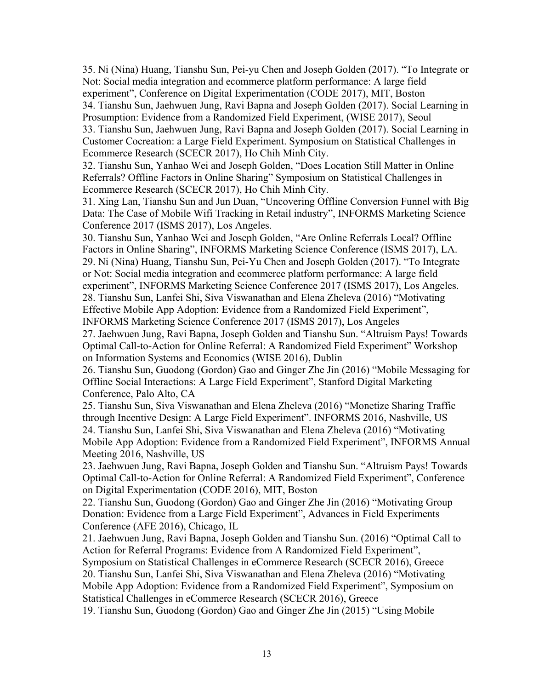35. Ni (Nina) Huang, Tianshu Sun, Pei-yu Chen and Joseph Golden (2017). "To Integrate or Not: Social media integration and ecommerce platform performance: A large field experiment", Conference on Digital Experimentation (CODE 2017), MIT, Boston 34. Tianshu Sun, Jaehwuen Jung, Ravi Bapna and Joseph Golden (2017). Social Learning in Prosumption: Evidence from a Randomized Field Experiment, (WISE 2017), Seoul 33. Tianshu Sun, Jaehwuen Jung, Ravi Bapna and Joseph Golden (2017). Social Learning in Customer Cocreation: a Large Field Experiment. Symposium on Statistical Challenges in Ecommerce Research (SCECR 2017), Ho Chih Minh City.

32. Tianshu Sun, Yanhao Wei and Joseph Golden, "Does Location Still Matter in Online Referrals? Offline Factors in Online Sharing" Symposium on Statistical Challenges in Ecommerce Research (SCECR 2017), Ho Chih Minh City.

31. Xing Lan, Tianshu Sun and Jun Duan, "Uncovering Offline Conversion Funnel with Big Data: The Case of Mobile Wifi Tracking in Retail industry", INFORMS Marketing Science Conference 2017 (ISMS 2017), Los Angeles.

30. Tianshu Sun, Yanhao Wei and Joseph Golden, "Are Online Referrals Local? Offline Factors in Online Sharing", INFORMS Marketing Science Conference (ISMS 2017), LA. 29. Ni (Nina) Huang, Tianshu Sun, Pei-Yu Chen and Joseph Golden (2017). "To Integrate or Not: Social media integration and ecommerce platform performance: A large field experiment", INFORMS Marketing Science Conference 2017 (ISMS 2017), Los Angeles. 28. Tianshu Sun, Lanfei Shi, Siva Viswanathan and Elena Zheleva (2016) "Motivating Effective Mobile App Adoption: Evidence from a Randomized Field Experiment", INFORMS Marketing Science Conference 2017 (ISMS 2017), Los Angeles 27. Jaehwuen Jung, Ravi Bapna, Joseph Golden and Tianshu Sun. "Altruism Pays! Towards Optimal Call-to-Action for Online Referral: A Randomized Field Experiment" Workshop

on Information Systems and Economics (WISE 2016), Dublin

26. Tianshu Sun, Guodong (Gordon) Gao and Ginger Zhe Jin (2016) "Mobile Messaging for Offline Social Interactions: A Large Field Experiment", Stanford Digital Marketing Conference, Palo Alto, CA

25. Tianshu Sun, Siva Viswanathan and Elena Zheleva (2016) "Monetize Sharing Traffic through Incentive Design: A Large Field Experiment". INFORMS 2016, Nashville, US 24. Tianshu Sun, Lanfei Shi, Siva Viswanathan and Elena Zheleva (2016) "Motivating Mobile App Adoption: Evidence from a Randomized Field Experiment", INFORMS Annual Meeting 2016, Nashville, US

23. Jaehwuen Jung, Ravi Bapna, Joseph Golden and Tianshu Sun. "Altruism Pays! Towards Optimal Call-to-Action for Online Referral: A Randomized Field Experiment", Conference on Digital Experimentation (CODE 2016), MIT, Boston

22. Tianshu Sun, Guodong (Gordon) Gao and Ginger Zhe Jin (2016) "Motivating Group Donation: Evidence from a Large Field Experiment", Advances in Field Experiments Conference (AFE 2016), Chicago, IL

21. Jaehwuen Jung, Ravi Bapna, Joseph Golden and Tianshu Sun. (2016) "Optimal Call to Action for Referral Programs: Evidence from A Randomized Field Experiment",

Symposium on Statistical Challenges in eCommerce Research (SCECR 2016), Greece 20. Tianshu Sun, Lanfei Shi, Siva Viswanathan and Elena Zheleva (2016) "Motivating Mobile App Adoption: Evidence from a Randomized Field Experiment", Symposium on Statistical Challenges in eCommerce Research (SCECR 2016), Greece

19. Tianshu Sun, Guodong (Gordon) Gao and Ginger Zhe Jin (2015) "Using Mobile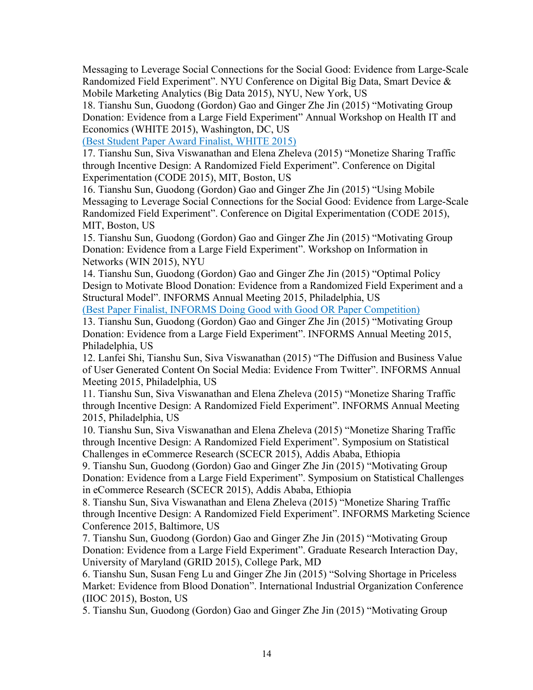Messaging to Leverage Social Connections for the Social Good: Evidence from Large-Scale Randomized Field Experiment". NYU Conference on Digital Big Data, Smart Device & Mobile Marketing Analytics (Big Data 2015), NYU, New York, US

18. Tianshu Sun, Guodong (Gordon) Gao and Ginger Zhe Jin (2015) "Motivating Group Donation: Evidence from a Large Field Experiment" Annual Workshop on Health IT and Economics (WHITE 2015), Washington, DC, US

(Best Student Paper Award Finalist, WHITE 2015)

17. Tianshu Sun, Siva Viswanathan and Elena Zheleva (2015) "Monetize Sharing Traffic through Incentive Design: A Randomized Field Experiment". Conference on Digital Experimentation (CODE 2015), MIT, Boston, US

16. Tianshu Sun, Guodong (Gordon) Gao and Ginger Zhe Jin (2015) "Using Mobile Messaging to Leverage Social Connections for the Social Good: Evidence from Large-Scale Randomized Field Experiment". Conference on Digital Experimentation (CODE 2015), MIT, Boston, US

15. Tianshu Sun, Guodong (Gordon) Gao and Ginger Zhe Jin (2015) "Motivating Group Donation: Evidence from a Large Field Experiment". Workshop on Information in Networks (WIN 2015), NYU

14. Tianshu Sun, Guodong (Gordon) Gao and Ginger Zhe Jin (2015) "Optimal Policy Design to Motivate Blood Donation: Evidence from a Randomized Field Experiment and a Structural Model". INFORMS Annual Meeting 2015, Philadelphia, US

(Best Paper Finalist, INFORMS Doing Good with Good OR Paper Competition)

13. Tianshu Sun, Guodong (Gordon) Gao and Ginger Zhe Jin (2015) "Motivating Group Donation: Evidence from a Large Field Experiment". INFORMS Annual Meeting 2015, Philadelphia, US

12. Lanfei Shi, Tianshu Sun, Siva Viswanathan (2015) "The Diffusion and Business Value of User Generated Content On Social Media: Evidence From Twitter". INFORMS Annual Meeting 2015, Philadelphia, US

11. Tianshu Sun, Siva Viswanathan and Elena Zheleva (2015) "Monetize Sharing Traffic through Incentive Design: A Randomized Field Experiment". INFORMS Annual Meeting 2015, Philadelphia, US

10. Tianshu Sun, Siva Viswanathan and Elena Zheleva (2015) "Monetize Sharing Traffic through Incentive Design: A Randomized Field Experiment". Symposium on Statistical Challenges in eCommerce Research (SCECR 2015), Addis Ababa, Ethiopia

9. Tianshu Sun, Guodong (Gordon) Gao and Ginger Zhe Jin (2015) "Motivating Group Donation: Evidence from a Large Field Experiment". Symposium on Statistical Challenges in eCommerce Research (SCECR 2015), Addis Ababa, Ethiopia

8. Tianshu Sun, Siva Viswanathan and Elena Zheleva (2015) "Monetize Sharing Traffic through Incentive Design: A Randomized Field Experiment". INFORMS Marketing Science Conference 2015, Baltimore, US

7. Tianshu Sun, Guodong (Gordon) Gao and Ginger Zhe Jin (2015) "Motivating Group Donation: Evidence from a Large Field Experiment". Graduate Research Interaction Day, University of Maryland (GRID 2015), College Park, MD

6. Tianshu Sun, Susan Feng Lu and Ginger Zhe Jin (2015) "Solving Shortage in Priceless Market: Evidence from Blood Donation". International Industrial Organization Conference (IIOC 2015), Boston, US

5. Tianshu Sun, Guodong (Gordon) Gao and Ginger Zhe Jin (2015) "Motivating Group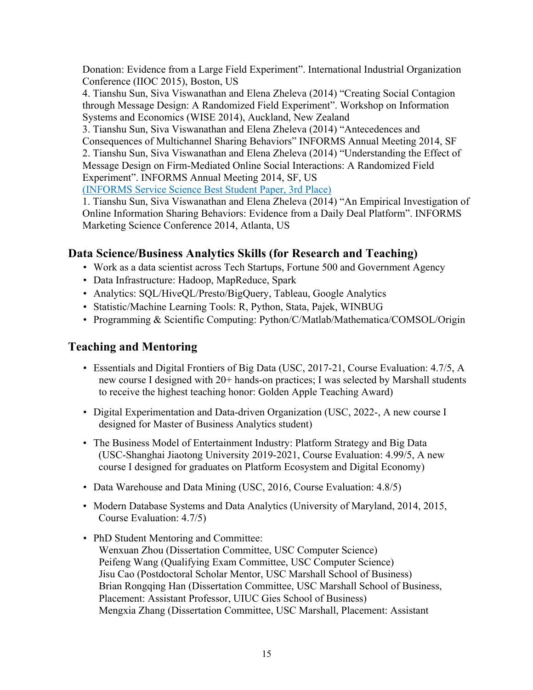Donation: Evidence from a Large Field Experiment". International Industrial Organization Conference (IIOC 2015), Boston, US

4. Tianshu Sun, Siva Viswanathan and Elena Zheleva (2014) "Creating Social Contagion through Message Design: A Randomized Field Experiment". Workshop on Information Systems and Economics (WISE 2014), Auckland, New Zealand

3. Tianshu Sun, Siva Viswanathan and Elena Zheleva (2014) "Antecedences and Consequences of Multichannel Sharing Behaviors" INFORMS Annual Meeting 2014, SF 2. Tianshu Sun, Siva Viswanathan and Elena Zheleva (2014) "Understanding the Effect of Message Design on Firm-Mediated Online Social Interactions: A Randomized Field Experiment". INFORMS Annual Meeting 2014, SF, US (INFORMS Service Science Best Student Paper, 3rd Place)

1. Tianshu Sun, Siva Viswanathan and Elena Zheleva (2014) "An Empirical Investigation of Online Information Sharing Behaviors: Evidence from a Daily Deal Platform". INFORMS Marketing Science Conference 2014, Atlanta, US

# **Data Science/Business Analytics Skills (for Research and Teaching)**

- Work as a data scientist across Tech Startups, Fortune 500 and Government Agency
- Data Infrastructure: Hadoop, MapReduce, Spark
- Analytics: SQL/HiveQL/Presto/BigQuery, Tableau, Google Analytics
- Statistic/Machine Learning Tools: R, Python, Stata, Pajek, WINBUG
- Programming & Scientific Computing: Python/C/Matlab/Mathematica/COMSOL/Origin

## **Teaching and Mentoring**

- Essentials and Digital Frontiers of Big Data (USC, 2017-21, Course Evaluation: 4.7/5, A new course I designed with 20+ hands-on practices; I was selected by Marshall students to receive the highest teaching honor: Golden Apple Teaching Award)
- Digital Experimentation and Data-driven Organization (USC, 2022-, A new course I designed for Master of Business Analytics student)
- The Business Model of Entertainment Industry: Platform Strategy and Big Data (USC-Shanghai Jiaotong University 2019-2021, Course Evaluation: 4.99/5, A new course I designed for graduates on Platform Ecosystem and Digital Economy)
- Data Warehouse and Data Mining (USC, 2016, Course Evaluation: 4.8/5)
- Modern Database Systems and Data Analytics (University of Maryland, 2014, 2015, Course Evaluation: 4.7/5)
- PhD Student Mentoring and Committee: Wenxuan Zhou (Dissertation Committee, USC Computer Science) Peifeng Wang (Qualifying Exam Committee, USC Computer Science) Jisu Cao (Postdoctoral Scholar Mentor, USC Marshall School of Business) Brian Rongqing Han (Dissertation Committee, USC Marshall School of Business, Placement: Assistant Professor, UIUC Gies School of Business) Mengxia Zhang (Dissertation Committee, USC Marshall, Placement: Assistant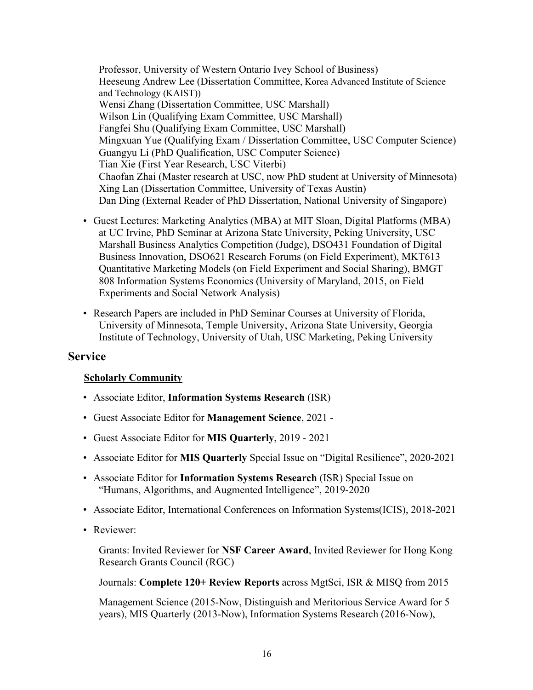Professor, University of Western Ontario Ivey School of Business) Heeseung Andrew Lee (Dissertation Committee, Korea Advanced Institute of Science and Technology (KAIST)) Wensi Zhang (Dissertation Committee, USC Marshall) Wilson Lin (Qualifying Exam Committee, USC Marshall) Fangfei Shu (Qualifying Exam Committee, USC Marshall) Mingxuan Yue (Qualifying Exam / Dissertation Committee, USC Computer Science) Guangyu Li (PhD Qualification, USC Computer Science) Tian Xie (First Year Research, USC Viterbi) Chaofan Zhai (Master research at USC, now PhD student at University of Minnesota) Xing Lan (Dissertation Committee, University of Texas Austin) Dan Ding (External Reader of PhD Dissertation, National University of Singapore)

- Guest Lectures: Marketing Analytics (MBA) at MIT Sloan, Digital Platforms (MBA) at UC Irvine, PhD Seminar at Arizona State University, Peking University, USC Marshall Business Analytics Competition (Judge), DSO431 Foundation of Digital Business Innovation, DSO621 Research Forums (on Field Experiment), MKT613 Quantitative Marketing Models (on Field Experiment and Social Sharing), BMGT 808 Information Systems Economics (University of Maryland, 2015, on Field Experiments and Social Network Analysis)
- Research Papers are included in PhD Seminar Courses at University of Florida, University of Minnesota, Temple University, Arizona State University, Georgia Institute of Technology, University of Utah, USC Marketing, Peking University

### **Service**

### **Scholarly Community**

- Associate Editor, **Information Systems Research** (ISR)
- Guest Associate Editor for **Management Science**, 2021 -
- Guest Associate Editor for **MIS Quarterly**, 2019 2021
- Associate Editor for **MIS Quarterly** Special Issue on "Digital Resilience", 2020-2021
- Associate Editor for **Information Systems Research** (ISR) Special Issue on "Humans, Algorithms, and Augmented Intelligence", 2019-2020
- Associate Editor, International Conferences on Information Systems(ICIS), 2018-2021
- Reviewer:

Grants: Invited Reviewer for **NSF Career Award**, Invited Reviewer for Hong Kong Research Grants Council (RGC)

Journals: **Complete 120+ Review Reports** across MgtSci, ISR & MISQ from 2015

Management Science (2015-Now, Distinguish and Meritorious Service Award for 5 years), MIS Quarterly (2013-Now), Information Systems Research (2016-Now),